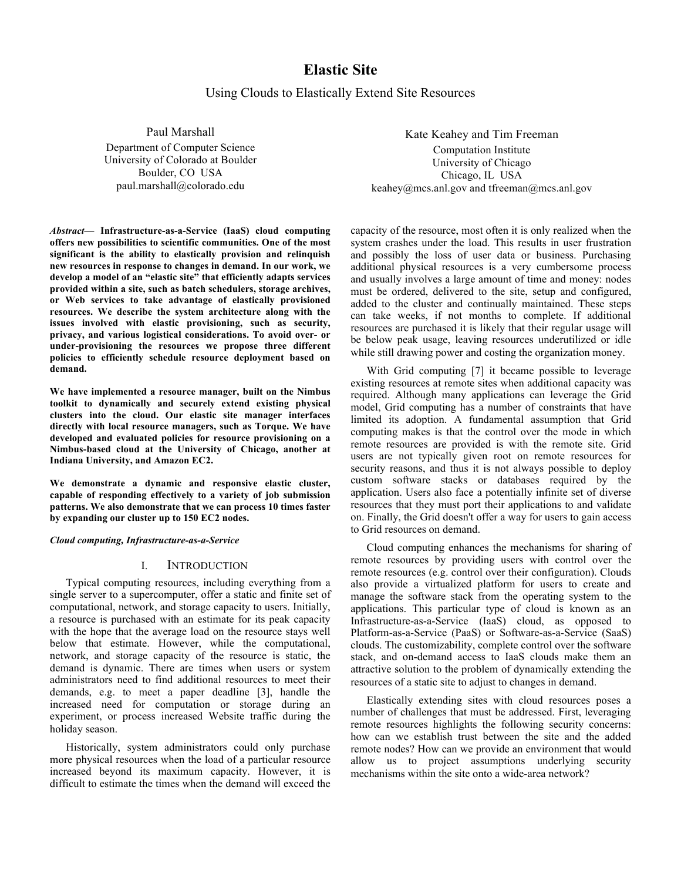# **Elastic Site**

Using Clouds to Elastically Extend Site Resources

Paul Marshall Department of Computer Science University of Colorado at Boulder Boulder, CO USA paul.marshall@colorado.edu

*Abstract***— Infrastructure-as-a-Service (IaaS) cloud computing offers new possibilities to scientific communities. One of the most significant is the ability to elastically provision and relinquish new resources in response to changes in demand. In our work, we develop a model of an "elastic site" that efficiently adapts services provided within a site, such as batch schedulers, storage archives, or Web services to take advantage of elastically provisioned resources. We describe the system architecture along with the issues involved with elastic provisioning, such as security, privacy, and various logistical considerations. To avoid over- or under-provisioning the resources we propose three different policies to efficiently schedule resource deployment based on demand.**

**We have implemented a resource manager, built on the Nimbus toolkit to dynamically and securely extend existing physical clusters into the cloud. Our elastic site manager interfaces directly with local resource managers, such as Torque. We have developed and evaluated policies for resource provisioning on a Nimbus-based cloud at the University of Chicago, another at Indiana University, and Amazon EC2.**

**We demonstrate a dynamic and responsive elastic cluster, capable of responding effectively to a variety of job submission patterns. We also demonstrate that we can process 10 times faster by expanding our cluster up to 150 EC2 nodes.**

*Cloud computing, Infrastructure-as-a-Service*

# I. INTRODUCTION

Typical computing resources, including everything from a single server to a supercomputer, offer a static and finite set of computational, network, and storage capacity to users. Initially, a resource is purchased with an estimate for its peak capacity with the hope that the average load on the resource stays well below that estimate. However, while the computational, network, and storage capacity of the resource is static, the demand is dynamic. There are times when users or system administrators need to find additional resources to meet their demands, e.g. to meet a paper deadline [3], handle the increased need for computation or storage during an experiment, or process increased Website traffic during the holiday season.

Historically, system administrators could only purchase more physical resources when the load of a particular resource increased beyond its maximum capacity. However, it is difficult to estimate the times when the demand will exceed the

Kate Keahey and Tim Freeman Computation Institute University of Chicago Chicago, IL USA keahey@mcs.anl.gov and tfreeman@mcs.anl.gov

capacity of the resource, most often it is only realized when the system crashes under the load. This results in user frustration and possibly the loss of user data or business. Purchasing additional physical resources is a very cumbersome process and usually involves a large amount of time and money: nodes must be ordered, delivered to the site, setup and configured, added to the cluster and continually maintained. These steps can take weeks, if not months to complete. If additional resources are purchased it is likely that their regular usage will be below peak usage, leaving resources underutilized or idle while still drawing power and costing the organization money.

With Grid computing [7] it became possible to leverage existing resources at remote sites when additional capacity was required. Although many applications can leverage the Grid model, Grid computing has a number of constraints that have limited its adoption. A fundamental assumption that Grid computing makes is that the control over the mode in which remote resources are provided is with the remote site. Grid users are not typically given root on remote resources for security reasons, and thus it is not always possible to deploy custom software stacks or databases required by the application. Users also face a potentially infinite set of diverse resources that they must port their applications to and validate on. Finally, the Grid doesn't offer a way for users to gain access to Grid resources on demand.

Cloud computing enhances the mechanisms for sharing of remote resources by providing users with control over the remote resources (e.g. control over their configuration). Clouds also provide a virtualized platform for users to create and manage the software stack from the operating system to the applications. This particular type of cloud is known as an Infrastructure-as-a-Service (IaaS) cloud, as opposed to Platform-as-a-Service (PaaS) or Software-as-a-Service (SaaS) clouds. The customizability, complete control over the software stack, and on-demand access to IaaS clouds make them an attractive solution to the problem of dynamically extending the resources of a static site to adjust to changes in demand.

Elastically extending sites with cloud resources poses a number of challenges that must be addressed. First, leveraging remote resources highlights the following security concerns: how can we establish trust between the site and the added remote nodes? How can we provide an environment that would allow us to project assumptions underlying security mechanisms within the site onto a wide-area network?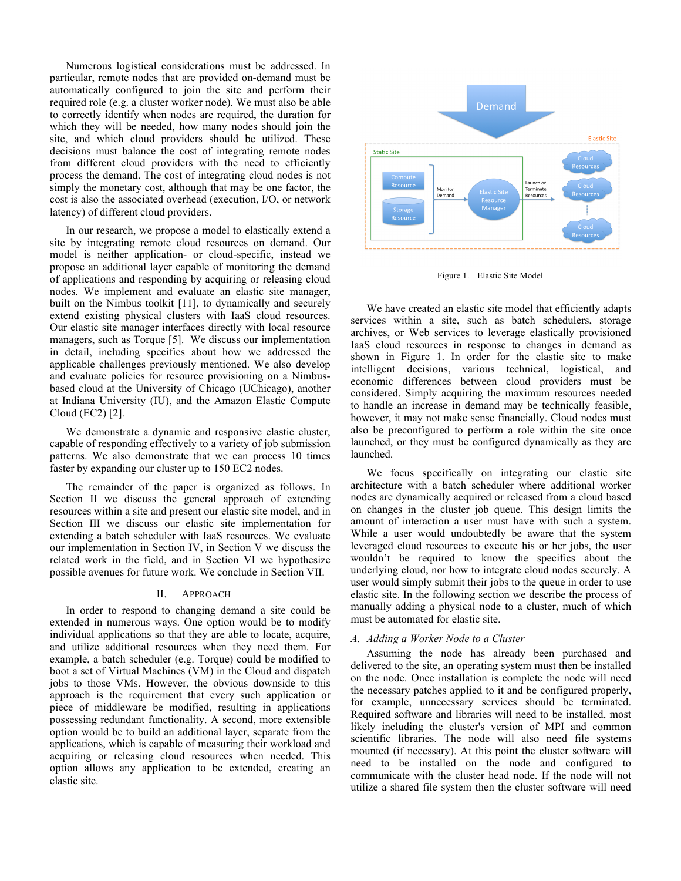Numerous logistical considerations must be addressed. In particular, remote nodes that are provided on-demand must be automatically configured to join the site and perform their required role (e.g. a cluster worker node). We must also be able to correctly identify when nodes are required, the duration for which they will be needed, how many nodes should join the site, and which cloud providers should be utilized. These decisions must balance the cost of integrating remote nodes from different cloud providers with the need to efficiently process the demand. The cost of integrating cloud nodes is not simply the monetary cost, although that may be one factor, the cost is also the associated overhead (execution, I/O, or network latency) of different cloud providers.

In our research, we propose a model to elastically extend a site by integrating remote cloud resources on demand. Our model is neither application- or cloud-specific, instead we propose an additional layer capable of monitoring the demand of applications and responding by acquiring or releasing cloud nodes. We implement and evaluate an elastic site manager, built on the Nimbus toolkit [11], to dynamically and securely extend existing physical clusters with IaaS cloud resources. Our elastic site manager interfaces directly with local resource managers, such as Torque [5]. We discuss our implementation in detail, including specifics about how we addressed the applicable challenges previously mentioned. We also develop and evaluate policies for resource provisioning on a Nimbusbased cloud at the University of Chicago (UChicago), another at Indiana University (IU), and the Amazon Elastic Compute Cloud (EC2) [2].

We demonstrate a dynamic and responsive elastic cluster, capable of responding effectively to a variety of job submission patterns. We also demonstrate that we can process 10 times faster by expanding our cluster up to 150 EC2 nodes.

The remainder of the paper is organized as follows. In Section II we discuss the general approach of extending resources within a site and present our elastic site model, and in Section III we discuss our elastic site implementation for extending a batch scheduler with IaaS resources. We evaluate our implementation in Section IV, in Section V we discuss the related work in the field, and in Section VI we hypothesize possible avenues for future work. We conclude in Section VII.

## II. APPROACH

In order to respond to changing demand a site could be extended in numerous ways. One option would be to modify individual applications so that they are able to locate, acquire, and utilize additional resources when they need them. For example, a batch scheduler (e.g. Torque) could be modified to boot a set of Virtual Machines (VM) in the Cloud and dispatch jobs to those VMs. However, the obvious downside to this approach is the requirement that every such application or piece of middleware be modified, resulting in applications possessing redundant functionality. A second, more extensible option would be to build an additional layer, separate from the applications, which is capable of measuring their workload and acquiring or releasing cloud resources when needed. This option allows any application to be extended, creating an elastic site.



Figure 1. Elastic Site Model

We have created an elastic site model that efficiently adapts services within a site, such as batch schedulers, storage archives, or Web services to leverage elastically provisioned IaaS cloud resources in response to changes in demand as shown in Figure 1. In order for the elastic site to make intelligent decisions, various technical, logistical, and economic differences between cloud providers must be considered. Simply acquiring the maximum resources needed to handle an increase in demand may be technically feasible, however, it may not make sense financially. Cloud nodes must also be preconfigured to perform a role within the site once launched, or they must be configured dynamically as they are launched.

We focus specifically on integrating our elastic site architecture with a batch scheduler where additional worker nodes are dynamically acquired or released from a cloud based on changes in the cluster job queue. This design limits the amount of interaction a user must have with such a system. While a user would undoubtedly be aware that the system leveraged cloud resources to execute his or her jobs, the user wouldn't be required to know the specifics about the underlying cloud, nor how to integrate cloud nodes securely. A user would simply submit their jobs to the queue in order to use elastic site. In the following section we describe the process of manually adding a physical node to a cluster, much of which must be automated for elastic site.

### *A. Adding a Worker Node to a Cluster*

Assuming the node has already been purchased and delivered to the site, an operating system must then be installed on the node. Once installation is complete the node will need the necessary patches applied to it and be configured properly, for example, unnecessary services should be terminated. Required software and libraries will need to be installed, most likely including the cluster's version of MPI and common scientific libraries. The node will also need file systems mounted (if necessary). At this point the cluster software will need to be installed on the node and configured to communicate with the cluster head node. If the node will not utilize a shared file system then the cluster software will need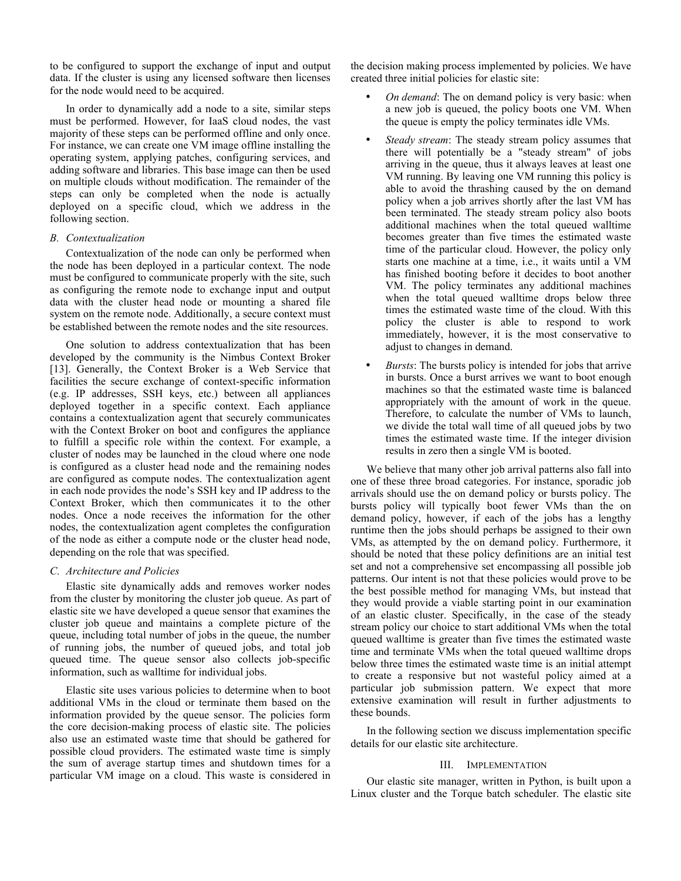to be configured to support the exchange of input and output data. If the cluster is using any licensed software then licenses for the node would need to be acquired.

In order to dynamically add a node to a site, similar steps must be performed. However, for IaaS cloud nodes, the vast majority of these steps can be performed offline and only once. For instance, we can create one VM image offline installing the operating system, applying patches, configuring services, and adding software and libraries. This base image can then be used on multiple clouds without modification. The remainder of the steps can only be completed when the node is actually deployed on a specific cloud, which we address in the following section.

# *B. Contextualization*

Contextualization of the node can only be performed when the node has been deployed in a particular context. The node must be configured to communicate properly with the site, such as configuring the remote node to exchange input and output data with the cluster head node or mounting a shared file system on the remote node. Additionally, a secure context must be established between the remote nodes and the site resources.

One solution to address contextualization that has been developed by the community is the Nimbus Context Broker [13]. Generally, the Context Broker is a Web Service that facilities the secure exchange of context-specific information (e.g. IP addresses, SSH keys, etc.) between all appliances deployed together in a specific context. Each appliance contains a contextualization agent that securely communicates with the Context Broker on boot and configures the appliance to fulfill a specific role within the context. For example, a cluster of nodes may be launched in the cloud where one node is configured as a cluster head node and the remaining nodes are configured as compute nodes. The contextualization agent in each node provides the node's SSH key and IP address to the Context Broker, which then communicates it to the other nodes. Once a node receives the information for the other nodes, the contextualization agent completes the configuration of the node as either a compute node or the cluster head node, depending on the role that was specified.

# *C. Architecture and Policies*

Elastic site dynamically adds and removes worker nodes from the cluster by monitoring the cluster job queue. As part of elastic site we have developed a queue sensor that examines the cluster job queue and maintains a complete picture of the queue, including total number of jobs in the queue, the number of running jobs, the number of queued jobs, and total job queued time. The queue sensor also collects job-specific information, such as walltime for individual jobs.

Elastic site uses various policies to determine when to boot additional VMs in the cloud or terminate them based on the information provided by the queue sensor. The policies form the core decision-making process of elastic site. The policies also use an estimated waste time that should be gathered for possible cloud providers. The estimated waste time is simply the sum of average startup times and shutdown times for a particular VM image on a cloud. This waste is considered in

the decision making process implemented by policies. We have created three initial policies for elastic site:

- *On demand*: The on demand policy is very basic: when a new job is queued, the policy boots one VM. When the queue is empty the policy terminates idle VMs.
- Steady stream: The steady stream policy assumes that there will potentially be a "steady stream" of jobs arriving in the queue, thus it always leaves at least one VM running. By leaving one VM running this policy is able to avoid the thrashing caused by the on demand policy when a job arrives shortly after the last VM has been terminated. The steady stream policy also boots additional machines when the total queued walltime becomes greater than five times the estimated waste time of the particular cloud. However, the policy only starts one machine at a time, i.e., it waits until a VM has finished booting before it decides to boot another VM. The policy terminates any additional machines when the total queued walltime drops below three times the estimated waste time of the cloud. With this policy the cluster is able to respond to work immediately, however, it is the most conservative to adjust to changes in demand.
- *Bursts*: The bursts policy is intended for jobs that arrive in bursts. Once a burst arrives we want to boot enough machines so that the estimated waste time is balanced appropriately with the amount of work in the queue. Therefore, to calculate the number of VMs to launch, we divide the total wall time of all queued jobs by two times the estimated waste time. If the integer division results in zero then a single VM is booted.

We believe that many other job arrival patterns also fall into one of these three broad categories. For instance, sporadic job arrivals should use the on demand policy or bursts policy. The bursts policy will typically boot fewer VMs than the on demand policy, however, if each of the jobs has a lengthy runtime then the jobs should perhaps be assigned to their own VMs, as attempted by the on demand policy. Furthermore, it should be noted that these policy definitions are an initial test set and not a comprehensive set encompassing all possible job patterns. Our intent is not that these policies would prove to be the best possible method for managing VMs, but instead that they would provide a viable starting point in our examination of an elastic cluster. Specifically, in the case of the steady stream policy our choice to start additional VMs when the total queued walltime is greater than five times the estimated waste time and terminate VMs when the total queued walltime drops below three times the estimated waste time is an initial attempt to create a responsive but not wasteful policy aimed at a particular job submission pattern. We expect that more extensive examination will result in further adjustments to these bounds.

In the following section we discuss implementation specific details for our elastic site architecture.

### III. IMPLEMENTATION

Our elastic site manager, written in Python, is built upon a Linux cluster and the Torque batch scheduler. The elastic site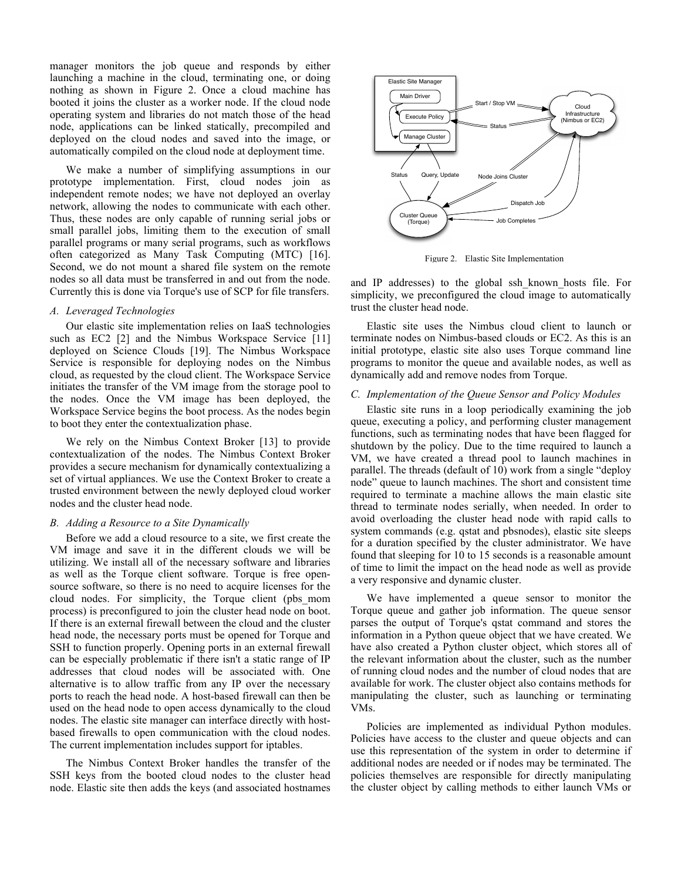manager monitors the job queue and responds by either launching a machine in the cloud, terminating one, or doing nothing as shown in Figure 2. Once a cloud machine has booted it joins the cluster as a worker node. If the cloud node operating system and libraries do not match those of the head node, applications can be linked statically, precompiled and deployed on the cloud nodes and saved into the image, or automatically compiled on the cloud node at deployment time.

We make a number of simplifying assumptions in our prototype implementation. First, cloud nodes join as independent remote nodes; we have not deployed an overlay network, allowing the nodes to communicate with each other. Thus, these nodes are only capable of running serial jobs or small parallel jobs, limiting them to the execution of small parallel programs or many serial programs, such as workflows often categorized as Many Task Computing (MTC) [16]. Second, we do not mount a shared file system on the remote nodes so all data must be transferred in and out from the node. Currently this is done via Torque's use of SCP for file transfers.

# *A. Leveraged Technologies*

Our elastic site implementation relies on IaaS technologies such as EC2 [2] and the Nimbus Workspace Service [11] deployed on Science Clouds [19]. The Nimbus Workspace Service is responsible for deploying nodes on the Nimbus cloud, as requested by the cloud client. The Workspace Service initiates the transfer of the VM image from the storage pool to the nodes. Once the VM image has been deployed, the Workspace Service begins the boot process. As the nodes begin to boot they enter the contextualization phase.

We rely on the Nimbus Context Broker [13] to provide contextualization of the nodes. The Nimbus Context Broker provides a secure mechanism for dynamically contextualizing a set of virtual appliances. We use the Context Broker to create a trusted environment between the newly deployed cloud worker nodes and the cluster head node.

#### *B. Adding a Resource to a Site Dynamically*

Before we add a cloud resource to a site, we first create the VM image and save it in the different clouds we will be utilizing. We install all of the necessary software and libraries as well as the Torque client software. Torque is free opensource software, so there is no need to acquire licenses for the cloud nodes. For simplicity, the Torque client (pbs\_mom process) is preconfigured to join the cluster head node on boot. If there is an external firewall between the cloud and the cluster head node, the necessary ports must be opened for Torque and SSH to function properly. Opening ports in an external firewall can be especially problematic if there isn't a static range of IP addresses that cloud nodes will be associated with. One alternative is to allow traffic from any IP over the necessary ports to reach the head node. A host-based firewall can then be used on the head node to open access dynamically to the cloud nodes. The elastic site manager can interface directly with hostbased firewalls to open communication with the cloud nodes. The current implementation includes support for iptables.

The Nimbus Context Broker handles the transfer of the SSH keys from the booted cloud nodes to the cluster head node. Elastic site then adds the keys (and associated hostnames



Figure 2. Elastic Site Implementation

and IP addresses) to the global ssh\_known\_hosts file. For simplicity, we preconfigured the cloud image to automatically trust the cluster head node.

Elastic site uses the Nimbus cloud client to launch or terminate nodes on Nimbus-based clouds or EC2. As this is an initial prototype, elastic site also uses Torque command line programs to monitor the queue and available nodes, as well as dynamically add and remove nodes from Torque.

# *C. Implementation of the Queue Sensor and Policy Modules*

Elastic site runs in a loop periodically examining the job queue, executing a policy, and performing cluster management functions, such as terminating nodes that have been flagged for shutdown by the policy. Due to the time required to launch a VM, we have created a thread pool to launch machines in parallel. The threads (default of 10) work from a single "deploy node" queue to launch machines. The short and consistent time required to terminate a machine allows the main elastic site thread to terminate nodes serially, when needed. In order to avoid overloading the cluster head node with rapid calls to system commands (e.g. qstat and pbsnodes), elastic site sleeps for a duration specified by the cluster administrator. We have found that sleeping for 10 to 15 seconds is a reasonable amount of time to limit the impact on the head node as well as provide a very responsive and dynamic cluster.

We have implemented a queue sensor to monitor the Torque queue and gather job information. The queue sensor parses the output of Torque's qstat command and stores the information in a Python queue object that we have created. We have also created a Python cluster object, which stores all of the relevant information about the cluster, such as the number of running cloud nodes and the number of cloud nodes that are available for work. The cluster object also contains methods for manipulating the cluster, such as launching or terminating VMs.

Policies are implemented as individual Python modules. Policies have access to the cluster and queue objects and can use this representation of the system in order to determine if additional nodes are needed or if nodes may be terminated. The policies themselves are responsible for directly manipulating the cluster object by calling methods to either launch VMs or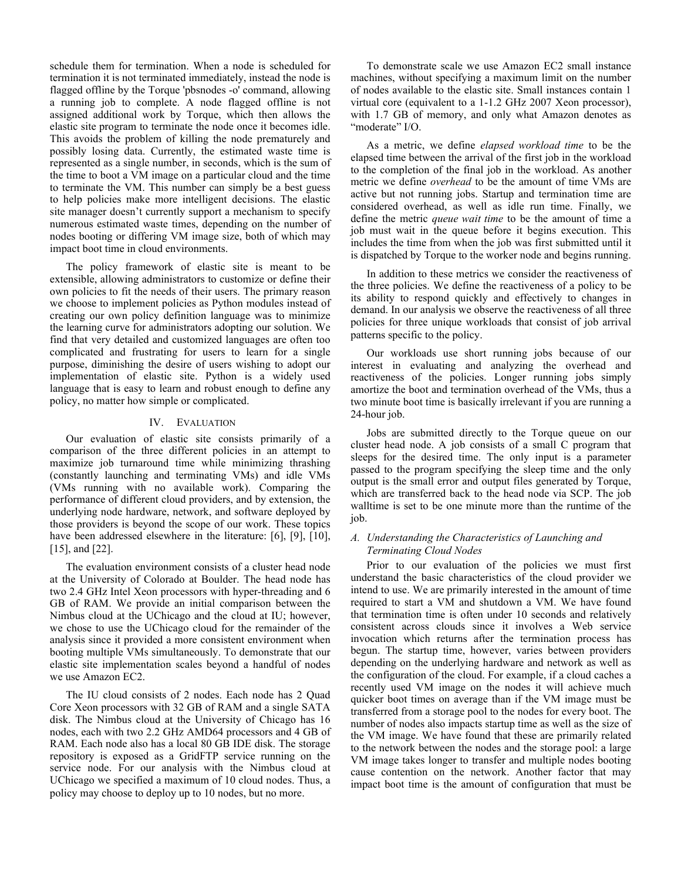schedule them for termination. When a node is scheduled for termination it is not terminated immediately, instead the node is flagged offline by the Torque 'pbsnodes -o' command, allowing a running job to complete. A node flagged offline is not assigned additional work by Torque, which then allows the elastic site program to terminate the node once it becomes idle. This avoids the problem of killing the node prematurely and possibly losing data. Currently, the estimated waste time is represented as a single number, in seconds, which is the sum of the time to boot a VM image on a particular cloud and the time to terminate the VM. This number can simply be a best guess to help policies make more intelligent decisions. The elastic site manager doesn't currently support a mechanism to specify numerous estimated waste times, depending on the number of nodes booting or differing VM image size, both of which may impact boot time in cloud environments.

The policy framework of elastic site is meant to be extensible, allowing administrators to customize or define their own policies to fit the needs of their users. The primary reason we choose to implement policies as Python modules instead of creating our own policy definition language was to minimize the learning curve for administrators adopting our solution. We find that very detailed and customized languages are often too complicated and frustrating for users to learn for a single purpose, diminishing the desire of users wishing to adopt our implementation of elastic site. Python is a widely used language that is easy to learn and robust enough to define any policy, no matter how simple or complicated.

# IV. EVALUATION

Our evaluation of elastic site consists primarily of a comparison of the three different policies in an attempt to maximize job turnaround time while minimizing thrashing (constantly launching and terminating VMs) and idle VMs (VMs running with no available work). Comparing the performance of different cloud providers, and by extension, the underlying node hardware, network, and software deployed by those providers is beyond the scope of our work. These topics have been addressed elsewhere in the literature: [6], [9], [10], [15], and [22].

The evaluation environment consists of a cluster head node at the University of Colorado at Boulder. The head node has two 2.4 GHz Intel Xeon processors with hyper-threading and 6 GB of RAM. We provide an initial comparison between the Nimbus cloud at the UChicago and the cloud at IU; however, we chose to use the UChicago cloud for the remainder of the analysis since it provided a more consistent environment when booting multiple VMs simultaneously. To demonstrate that our elastic site implementation scales beyond a handful of nodes we use Amazon EC2.

The IU cloud consists of 2 nodes. Each node has 2 Quad Core Xeon processors with 32 GB of RAM and a single SATA disk. The Nimbus cloud at the University of Chicago has 16 nodes, each with two 2.2 GHz AMD64 processors and 4 GB of RAM. Each node also has a local 80 GB IDE disk. The storage repository is exposed as a GridFTP service running on the service node. For our analysis with the Nimbus cloud at UChicago we specified a maximum of 10 cloud nodes. Thus, a policy may choose to deploy up to 10 nodes, but no more.

To demonstrate scale we use Amazon EC2 small instance machines, without specifying a maximum limit on the number of nodes available to the elastic site. Small instances contain 1 virtual core (equivalent to a 1-1.2 GHz 2007 Xeon processor), with 1.7 GB of memory, and only what Amazon denotes as "moderate" I/O.

As a metric, we define *elapsed workload time* to be the elapsed time between the arrival of the first job in the workload to the completion of the final job in the workload. As another metric we define *overhead* to be the amount of time VMs are active but not running jobs. Startup and termination time are considered overhead, as well as idle run time. Finally, we define the metric *queue wait time* to be the amount of time a job must wait in the queue before it begins execution. This includes the time from when the job was first submitted until it is dispatched by Torque to the worker node and begins running.

In addition to these metrics we consider the reactiveness of the three policies. We define the reactiveness of a policy to be its ability to respond quickly and effectively to changes in demand. In our analysis we observe the reactiveness of all three policies for three unique workloads that consist of job arrival patterns specific to the policy.

Our workloads use short running jobs because of our interest in evaluating and analyzing the overhead and reactiveness of the policies. Longer running jobs simply amortize the boot and termination overhead of the VMs, thus a two minute boot time is basically irrelevant if you are running a 24-hour job.

Jobs are submitted directly to the Torque queue on our cluster head node. A job consists of a small C program that sleeps for the desired time. The only input is a parameter passed to the program specifying the sleep time and the only output is the small error and output files generated by Torque, which are transferred back to the head node via SCP. The job walltime is set to be one minute more than the runtime of the job.

# *A. Understanding the Characteristics of Launching and Terminating Cloud Nodes*

Prior to our evaluation of the policies we must first understand the basic characteristics of the cloud provider we intend to use. We are primarily interested in the amount of time required to start a VM and shutdown a VM. We have found that termination time is often under 10 seconds and relatively consistent across clouds since it involves a Web service invocation which returns after the termination process has begun. The startup time, however, varies between providers depending on the underlying hardware and network as well as the configuration of the cloud. For example, if a cloud caches a recently used VM image on the nodes it will achieve much quicker boot times on average than if the VM image must be transferred from a storage pool to the nodes for every boot. The number of nodes also impacts startup time as well as the size of the VM image. We have found that these are primarily related to the network between the nodes and the storage pool: a large VM image takes longer to transfer and multiple nodes booting cause contention on the network. Another factor that may impact boot time is the amount of configuration that must be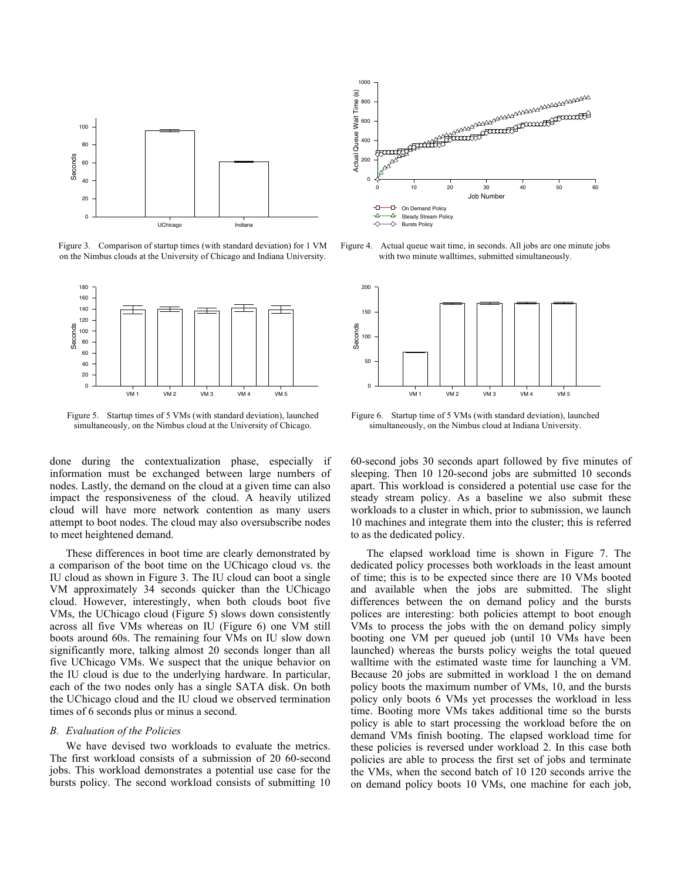

Figure 3. Comparison of startup times (with standard deviation) for 1 VM on the Nimbus clouds at the University of Chicago and Indiana University.



Figure 5. Startup times of 5 VMs (with standard deviation), launched simultaneously, on the Nimbus cloud at the University of Chicago.

done during the contextualization phase, especially if information must be exchanged between large numbers of nodes. Lastly, the demand on the cloud at a given time can also impact the responsiveness of the cloud. A heavily utilized cloud will have more network contention as many users attempt to boot nodes. The cloud may also oversubscribe nodes to meet heightened demand.

These differences in boot time are clearly demonstrated by a comparison of the boot time on the UChicago cloud vs. the IU cloud as shown in Figure 3. The IU cloud can boot a single VM approximately 34 seconds quicker than the UChicago cloud. However, interestingly, when both clouds boot five VMs, the UChicago cloud (Figure 5) slows down consistently across all five VMs whereas on IU (Figure 6) one VM still boots around 60s. The remaining four VMs on IU slow down significantly more, talking almost 20 seconds longer than all five UChicago VMs. We suspect that the unique behavior on the IU cloud is due to the underlying hardware. In particular, each of the two nodes only has a single SATA disk. On both the UChicago cloud and the IU cloud we observed termination times of 6 seconds plus or minus a second.

### *B. Evaluation of the Policies*

We have devised two workloads to evaluate the metrics. The first workload consists of a submission of 20 60-second jobs. This workload demonstrates a potential use case for the bursts policy. The second workload consists of submitting 10



Figure 4. Actual queue wait time, in seconds. All jobs are one minute jobs with two minute walltimes, submitted simultaneously.



Figure 6. Startup time of 5 VMs (with standard deviation), launched simultaneously, on the Nimbus cloud at Indiana University.

60-second jobs 30 seconds apart followed by five minutes of sleeping. Then 10 120-second jobs are submitted 10 seconds apart. This workload is considered a potential use case for the steady stream policy. As a baseline we also submit these workloads to a cluster in which, prior to submission, we launch 10 machines and integrate them into the cluster; this is referred to as the dedicated policy.

The elapsed workload time is shown in Figure 7. The dedicated policy processes both workloads in the least amount of time; this is to be expected since there are 10 VMs booted and available when the jobs are submitted. The slight differences between the on demand policy and the bursts polices are interesting: both policies attempt to boot enough VMs to process the jobs with the on demand policy simply booting one VM per queued job (until 10 VMs have been launched) whereas the bursts policy weighs the total queued walltime with the estimated waste time for launching a VM. Because 20 jobs are submitted in workload 1 the on demand policy boots the maximum number of VMs, 10, and the bursts policy only boots 6 VMs yet processes the workload in less time. Booting more VMs takes additional time so the bursts policy is able to start processing the workload before the on demand VMs finish booting. The elapsed workload time for these policies is reversed under workload 2. In this case both policies are able to process the first set of jobs and terminate the VMs, when the second batch of 10 120 seconds arrive the on demand policy boots 10 VMs, one machine for each job,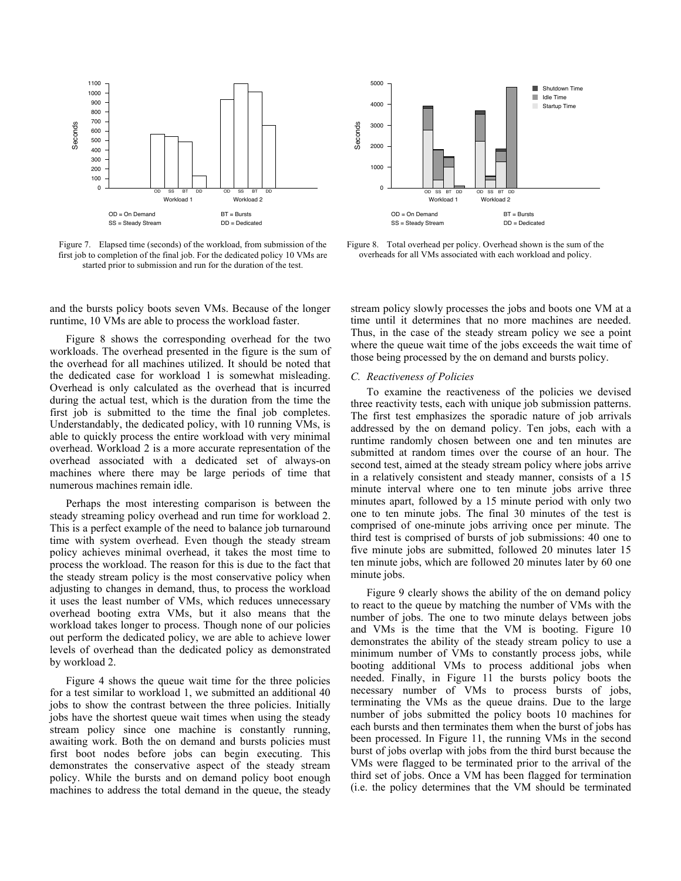

Figure 7. Elapsed time (seconds) of the workload, from submission of the first job to completion of the final job. For the dedicated policy 10 VMs are started prior to submission and run for the duration of the test.

and the bursts policy boots seven VMs. Because of the longer runtime, 10 VMs are able to process the workload faster.

Figure 8 shows the corresponding overhead for the two workloads. The overhead presented in the figure is the sum of the overhead for all machines utilized. It should be noted that the dedicated case for workload 1 is somewhat misleading. Overhead is only calculated as the overhead that is incurred during the actual test, which is the duration from the time the first job is submitted to the time the final job completes. Understandably, the dedicated policy, with 10 running VMs, is able to quickly process the entire workload with very minimal overhead. Workload 2 is a more accurate representation of the overhead associated with a dedicated set of always-on machines where there may be large periods of time that numerous machines remain idle.

Perhaps the most interesting comparison is between the steady streaming policy overhead and run time for workload 2. This is a perfect example of the need to balance job turnaround time with system overhead. Even though the steady stream policy achieves minimal overhead, it takes the most time to process the workload. The reason for this is due to the fact that the steady stream policy is the most conservative policy when adjusting to changes in demand, thus, to process the workload it uses the least number of VMs, which reduces unnecessary overhead booting extra VMs, but it also means that the workload takes longer to process. Though none of our policies out perform the dedicated policy, we are able to achieve lower levels of overhead than the dedicated policy as demonstrated by workload 2.

Figure 4 shows the queue wait time for the three policies for a test similar to workload 1, we submitted an additional 40 jobs to show the contrast between the three policies. Initially jobs have the shortest queue wait times when using the steady stream policy since one machine is constantly running, awaiting work. Both the on demand and bursts policies must first boot nodes before jobs can begin executing. This demonstrates the conservative aspect of the steady stream policy. While the bursts and on demand policy boot enough machines to address the total demand in the queue, the steady



Figure 8. Total overhead per policy. Overhead shown is the sum of the overheads for all VMs associated with each workload and policy.

stream policy slowly processes the jobs and boots one VM at a time until it determines that no more machines are needed. Thus, in the case of the steady stream policy we see a point where the queue wait time of the jobs exceeds the wait time of those being processed by the on demand and bursts policy.

### *C. Reactiveness of Policies*

To examine the reactiveness of the policies we devised three reactivity tests, each with unique job submission patterns. The first test emphasizes the sporadic nature of job arrivals addressed by the on demand policy. Ten jobs, each with a runtime randomly chosen between one and ten minutes are submitted at random times over the course of an hour. The second test, aimed at the steady stream policy where jobs arrive in a relatively consistent and steady manner, consists of a 15 minute interval where one to ten minute jobs arrive three minutes apart, followed by a 15 minute period with only two one to ten minute jobs. The final 30 minutes of the test is comprised of one-minute jobs arriving once per minute. The third test is comprised of bursts of job submissions: 40 one to five minute jobs are submitted, followed 20 minutes later 15 ten minute jobs, which are followed 20 minutes later by 60 one minute jobs.

Figure 9 clearly shows the ability of the on demand policy to react to the queue by matching the number of VMs with the number of jobs. The one to two minute delays between jobs and VMs is the time that the VM is booting. Figure 10 demonstrates the ability of the steady stream policy to use a minimum number of VMs to constantly process jobs, while booting additional VMs to process additional jobs when needed. Finally, in Figure 11 the bursts policy boots the necessary number of VMs to process bursts of jobs, terminating the VMs as the queue drains. Due to the large number of jobs submitted the policy boots 10 machines for each bursts and then terminates them when the burst of jobs has been processed. In Figure 11, the running VMs in the second burst of jobs overlap with jobs from the third burst because the VMs were flagged to be terminated prior to the arrival of the third set of jobs. Once a VM has been flagged for termination (i.e. the policy determines that the VM should be terminated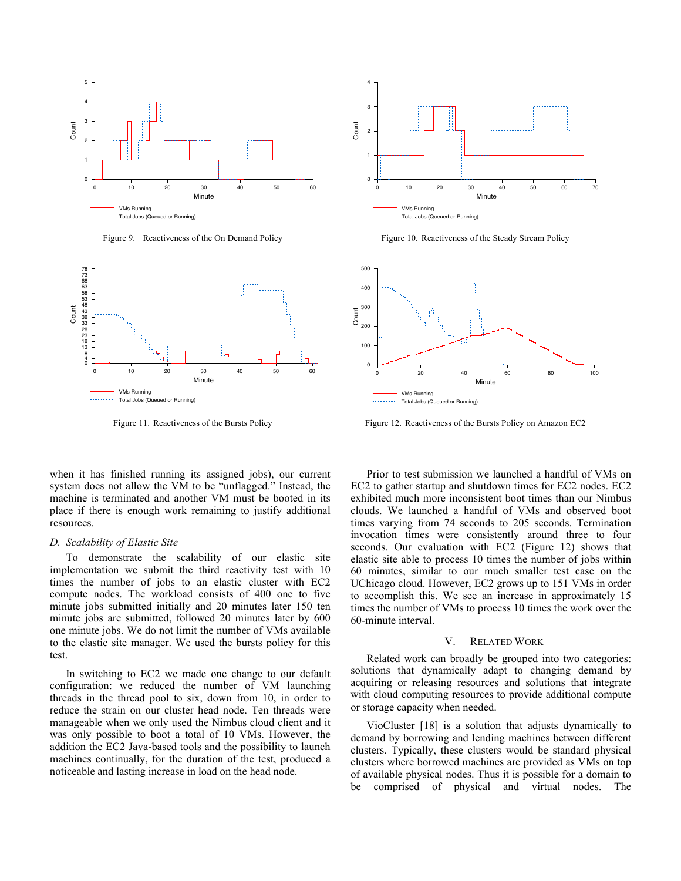

Figure 9. Reactiveness of the On Demand Policy Figure 10. Reactiveness of the Steady Stream Policy



when it has finished running its assigned jobs), our current system does not allow the VM to be "unflagged." Instead, the machine is terminated and another VM must be booted in its place if there is enough work remaining to justify additional resources.

### *D. Scalability of Elastic Site*

To demonstrate the scalability of our elastic site implementation we submit the third reactivity test with 10 times the number of jobs to an elastic cluster with EC2 compute nodes. The workload consists of 400 one to five minute jobs submitted initially and 20 minutes later 150 ten minute jobs are submitted, followed 20 minutes later by 600 one minute jobs. We do not limit the number of VMs available to the elastic site manager. We used the bursts policy for this test.

In switching to EC2 we made one change to our default configuration: we reduced the number of VM launching threads in the thread pool to six, down from 10, in order to reduce the strain on our cluster head node. Ten threads were manageable when we only used the Nimbus cloud client and it was only possible to boot a total of 10 VMs. However, the addition the EC2 Java-based tools and the possibility to launch machines continually, for the duration of the test, produced a noticeable and lasting increase in load on the head node.





Figure 11. Reactiveness of the Bursts Policy Figure 12. Reactiveness of the Bursts Policy on Amazon EC2

Prior to test submission we launched a handful of VMs on EC2 to gather startup and shutdown times for EC2 nodes. EC2 exhibited much more inconsistent boot times than our Nimbus clouds. We launched a handful of VMs and observed boot times varying from 74 seconds to 205 seconds. Termination invocation times were consistently around three to four seconds. Our evaluation with EC2 (Figure 12) shows that elastic site able to process 10 times the number of jobs within 60 minutes, similar to our much smaller test case on the UChicago cloud. However, EC2 grows up to 151 VMs in order to accomplish this. We see an increase in approximately 15 times the number of VMs to process 10 times the work over the 60-minute interval.

### V. RELATED WORK

Related work can broadly be grouped into two categories: solutions that dynamically adapt to changing demand by acquiring or releasing resources and solutions that integrate with cloud computing resources to provide additional compute or storage capacity when needed.

VioCluster [18] is a solution that adjusts dynamically to demand by borrowing and lending machines between different clusters. Typically, these clusters would be standard physical clusters where borrowed machines are provided as VMs on top of available physical nodes. Thus it is possible for a domain to be comprised of physical and virtual nodes. The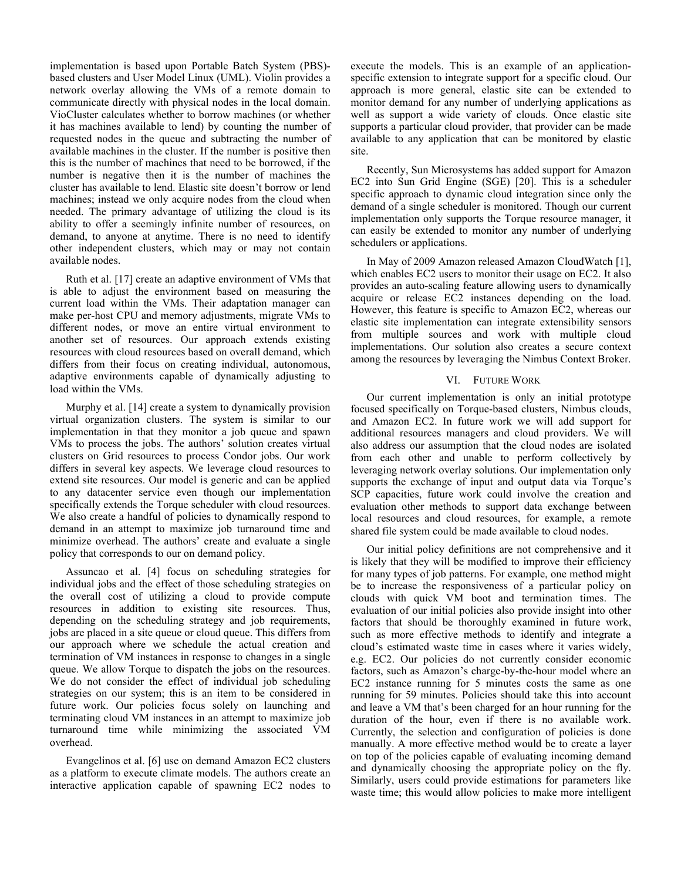implementation is based upon Portable Batch System (PBS) based clusters and User Model Linux (UML). Violin provides a network overlay allowing the VMs of a remote domain to communicate directly with physical nodes in the local domain. VioCluster calculates whether to borrow machines (or whether it has machines available to lend) by counting the number of requested nodes in the queue and subtracting the number of available machines in the cluster. If the number is positive then this is the number of machines that need to be borrowed, if the number is negative then it is the number of machines the cluster has available to lend. Elastic site doesn't borrow or lend machines; instead we only acquire nodes from the cloud when needed. The primary advantage of utilizing the cloud is its ability to offer a seemingly infinite number of resources, on demand, to anyone at anytime. There is no need to identify other independent clusters, which may or may not contain available nodes.

Ruth et al. [17] create an adaptive environment of VMs that is able to adjust the environment based on measuring the current load within the VMs. Their adaptation manager can make per-host CPU and memory adjustments, migrate VMs to different nodes, or move an entire virtual environment to another set of resources. Our approach extends existing resources with cloud resources based on overall demand, which differs from their focus on creating individual, autonomous, adaptive environments capable of dynamically adjusting to load within the VMs.

Murphy et al. [14] create a system to dynamically provision virtual organization clusters. The system is similar to our implementation in that they monitor a job queue and spawn VMs to process the jobs. The authors' solution creates virtual clusters on Grid resources to process Condor jobs. Our work differs in several key aspects. We leverage cloud resources to extend site resources. Our model is generic and can be applied to any datacenter service even though our implementation specifically extends the Torque scheduler with cloud resources. We also create a handful of policies to dynamically respond to demand in an attempt to maximize job turnaround time and minimize overhead. The authors' create and evaluate a single policy that corresponds to our on demand policy.

Assuncao et al. [4] focus on scheduling strategies for individual jobs and the effect of those scheduling strategies on the overall cost of utilizing a cloud to provide compute resources in addition to existing site resources. Thus, depending on the scheduling strategy and job requirements, jobs are placed in a site queue or cloud queue. This differs from our approach where we schedule the actual creation and termination of VM instances in response to changes in a single queue. We allow Torque to dispatch the jobs on the resources. We do not consider the effect of individual job scheduling strategies on our system; this is an item to be considered in future work. Our policies focus solely on launching and terminating cloud VM instances in an attempt to maximize job turnaround time while minimizing the associated VM overhead.

Evangelinos et al. [6] use on demand Amazon EC2 clusters as a platform to execute climate models. The authors create an interactive application capable of spawning EC2 nodes to execute the models. This is an example of an applicationspecific extension to integrate support for a specific cloud. Our approach is more general, elastic site can be extended to monitor demand for any number of underlying applications as well as support a wide variety of clouds. Once elastic site supports a particular cloud provider, that provider can be made available to any application that can be monitored by elastic site.

Recently, Sun Microsystems has added support for Amazon EC2 into Sun Grid Engine (SGE) [20]. This is a scheduler specific approach to dynamic cloud integration since only the demand of a single scheduler is monitored. Though our current implementation only supports the Torque resource manager, it can easily be extended to monitor any number of underlying schedulers or applications.

In May of 2009 Amazon released Amazon CloudWatch [1], which enables EC2 users to monitor their usage on EC2. It also provides an auto-scaling feature allowing users to dynamically acquire or release EC2 instances depending on the load. However, this feature is specific to Amazon EC2, whereas our elastic site implementation can integrate extensibility sensors from multiple sources and work with multiple cloud implementations. Our solution also creates a secure context among the resources by leveraging the Nimbus Context Broker.

# VI. FUTURE WORK

Our current implementation is only an initial prototype focused specifically on Torque-based clusters, Nimbus clouds, and Amazon EC2. In future work we will add support for additional resources managers and cloud providers. We will also address our assumption that the cloud nodes are isolated from each other and unable to perform collectively by leveraging network overlay solutions. Our implementation only supports the exchange of input and output data via Torque's SCP capacities, future work could involve the creation and evaluation other methods to support data exchange between local resources and cloud resources, for example, a remote shared file system could be made available to cloud nodes.

Our initial policy definitions are not comprehensive and it is likely that they will be modified to improve their efficiency for many types of job patterns. For example, one method might be to increase the responsiveness of a particular policy on clouds with quick VM boot and termination times. The evaluation of our initial policies also provide insight into other factors that should be thoroughly examined in future work, such as more effective methods to identify and integrate a cloud's estimated waste time in cases where it varies widely, e.g. EC2. Our policies do not currently consider economic factors, such as Amazon's charge-by-the-hour model where an EC2 instance running for 5 minutes costs the same as one running for 59 minutes. Policies should take this into account and leave a VM that's been charged for an hour running for the duration of the hour, even if there is no available work. Currently, the selection and configuration of policies is done manually. A more effective method would be to create a layer on top of the policies capable of evaluating incoming demand and dynamically choosing the appropriate policy on the fly. Similarly, users could provide estimations for parameters like waste time; this would allow policies to make more intelligent